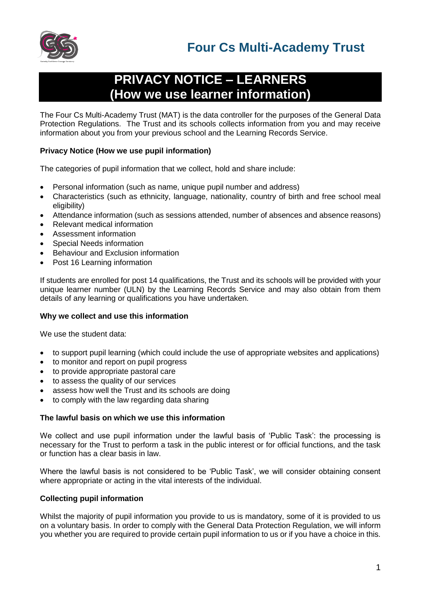

# **PRIVACY NOTICE – LEARNERS (How we use learner information)**

The Four Cs Multi-Academy Trust (MAT) is the data controller for the purposes of the General Data Protection Regulations. The Trust and its schools collects information from you and may receive information about you from your previous school and the Learning Records Service.

# **Privacy Notice (How we use pupil information)**

The categories of pupil information that we collect, hold and share include:

- Personal information (such as name, unique pupil number and address)
- Characteristics (such as ethnicity, language, nationality, country of birth and free school meal eligibility)
- Attendance information (such as sessions attended, number of absences and absence reasons)
- Relevant medical information
- Assessment information
- Special Needs information
- Behaviour and Exclusion information
- Post 16 Learning information

If students are enrolled for post 14 qualifications, the Trust and its schools will be provided with your unique learner number (ULN) by the Learning Records Service and may also obtain from them details of any learning or qualifications you have undertaken.

# **Why we collect and use this information**

We use the student data:

- to support pupil learning (which could include the use of appropriate websites and applications)
- to monitor and report on pupil progress
- to provide appropriate pastoral care
- to assess the quality of our services
- assess how well the Trust and its schools are doing
- to comply with the law regarding data sharing

#### **The lawful basis on which we use this information**

We collect and use pupil information under the lawful basis of 'Public Task': the processing is necessary for the Trust to perform a task in the public interest or for official functions, and the task or function has a clear basis in law.

Where the lawful basis is not considered to be 'Public Task', we will consider obtaining consent where appropriate or acting in the vital interests of the individual.

# **Collecting pupil information**

Whilst the majority of pupil information you provide to us is mandatory, some of it is provided to us on a voluntary basis. In order to comply with the General Data Protection Regulation, we will inform you whether you are required to provide certain pupil information to us or if you have a choice in this.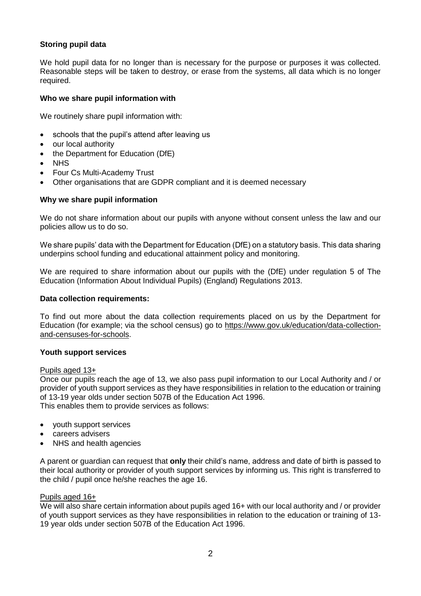# **Storing pupil data**

We hold pupil data for no longer than is necessary for the purpose or purposes it was collected. Reasonable steps will be taken to destroy, or erase from the systems, all data which is no longer required.

### **Who we share pupil information with**

We routinely share pupil information with:

- schools that the pupil's attend after leaving us
- our local authority
- the Department for Education (DfE)
- NHS
- Four Cs Multi-Academy Trust
- Other organisations that are GDPR compliant and it is deemed necessary

#### **Why we share pupil information**

We do not share information about our pupils with anyone without consent unless the law and our policies allow us to do so.

We share pupils' data with the Department for Education (DfE) on a statutory basis. This data sharing underpins school funding and educational attainment policy and monitoring.

We are required to share information about our pupils with the (DfE) under regulation 5 of The Education (Information About Individual Pupils) (England) Regulations 2013.

#### **Data collection requirements:**

To find out more about the data collection requirements placed on us by the Department for Education (for example; via the school census) go to [https://www.gov.uk/education/data-collection](https://www.gov.uk/education/data-collection-and-censuses-for-schools)[and-censuses-for-schools.](https://www.gov.uk/education/data-collection-and-censuses-for-schools)

#### **Youth support services**

#### Pupils aged 13+

Once our pupils reach the age of 13, we also pass pupil information to our Local Authority and / or provider of youth support services as they have responsibilities in relation to the education or training of 13-19 year olds under section 507B of the Education Act 1996. This enables them to provide services as follows:

- youth support services
- careers advisers
- NHS and health agencies

A parent or guardian can request that **only** their child's name, address and date of birth is passed to their local authority or provider of youth support services by informing us. This right is transferred to the child / pupil once he/she reaches the age 16.

#### Pupils aged 16+

We will also share certain information about pupils aged 16+ with our local authority and / or provider of youth support services as they have responsibilities in relation to the education or training of 13- 19 year olds under section 507B of the Education Act 1996.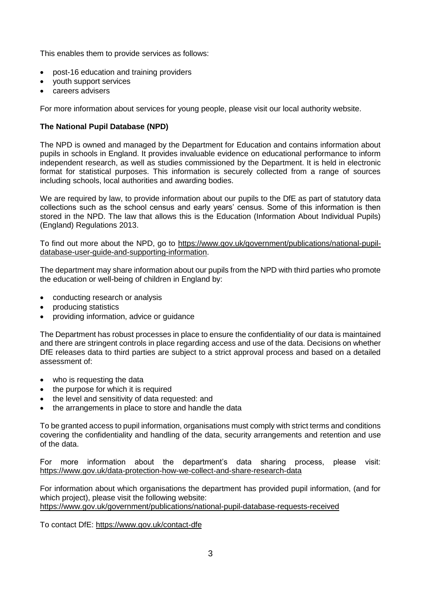This enables them to provide services as follows:

- post-16 education and training providers
- youth support services
- careers advisers

For more information about services for young people, please visit our local authority website.

# **The National Pupil Database (NPD)**

The NPD is owned and managed by the Department for Education and contains information about pupils in schools in England. It provides invaluable evidence on educational performance to inform independent research, as well as studies commissioned by the Department. It is held in electronic format for statistical purposes. This information is securely collected from a range of sources including schools, local authorities and awarding bodies.

We are required by law, to provide information about our pupils to the DfE as part of statutory data collections such as the school census and early years' census. Some of this information is then stored in the NPD. The law that allows this is the Education (Information About Individual Pupils) (England) Regulations 2013.

To find out more about the NPD, go to [https://www.gov.uk/government/publications/national-pupil](https://www.gov.uk/government/publications/national-pupil-database-user-guide-and-supporting-information)[database-user-guide-and-supporting-information.](https://www.gov.uk/government/publications/national-pupil-database-user-guide-and-supporting-information)

The department may share information about our pupils from the NPD with third parties who promote the education or well-being of children in England by:

- conducting research or analysis
- producing statistics
- providing information, advice or guidance

The Department has robust processes in place to ensure the confidentiality of our data is maintained and there are stringent controls in place regarding access and use of the data. Decisions on whether DfE releases data to third parties are subject to a strict approval process and based on a detailed assessment of:

- who is requesting the data
- the purpose for which it is required
- the level and sensitivity of data requested: and
- the arrangements in place to store and handle the data

To be granted access to pupil information, organisations must comply with strict terms and conditions covering the confidentiality and handling of the data, security arrangements and retention and use of the data.

For more information about the department's data sharing process, please visit: <https://www.gov.uk/data-protection-how-we-collect-and-share-research-data>

For information about which organisations the department has provided pupil information, (and for which project), please visit the following website: <https://www.gov.uk/government/publications/national-pupil-database-requests-received>

To contact DfE:<https://www.gov.uk/contact-dfe>